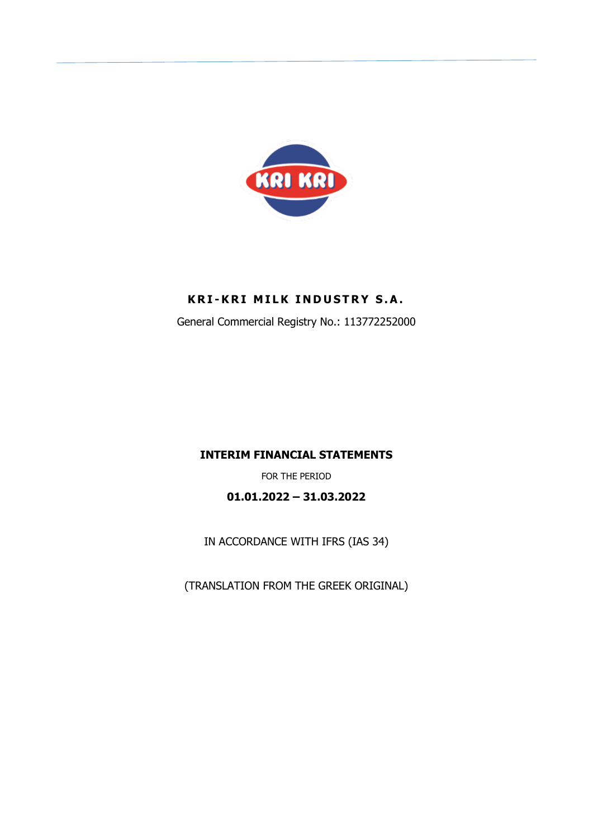

## **KRI-KRI MILK INDUSTRY S.A.**

General Commercial Registry No.: 113772252000

## **INTERIM FINANCIAL STATEMENTS**

FOR THE PERIOD

**01.01.2022 – 31.03.2022** 

IN ACCORDANCE WITH IFRS (IAS 34)

(TRANSLATION FROM THE GREEK ORIGINAL)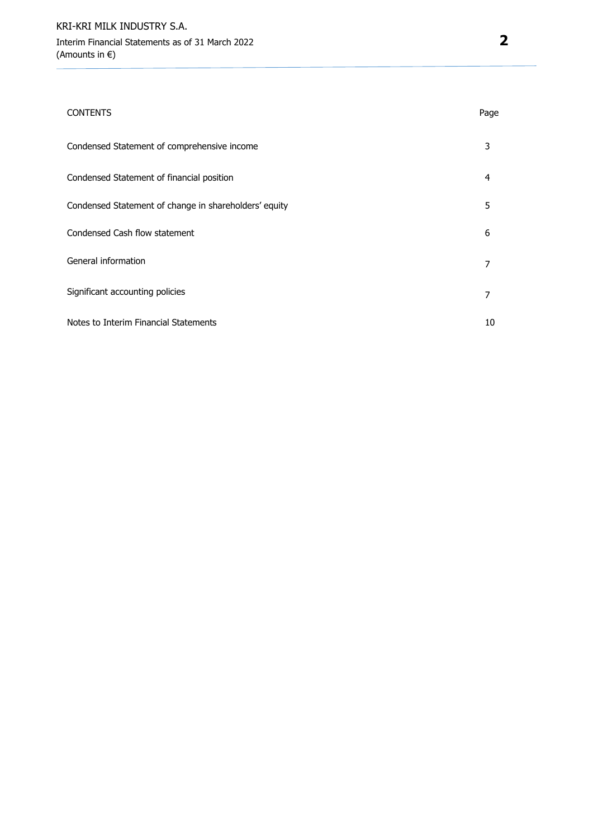#### CONTENTS Page

| Condensed Statement of comprehensive income           | 3  |
|-------------------------------------------------------|----|
| Condensed Statement of financial position             | 4  |
| Condensed Statement of change in shareholders' equity | 5  |
| Condensed Cash flow statement                         | 6  |
| General information                                   |    |
| Significant accounting policies                       | 7  |
| Notes to Interim Financial Statements                 | 10 |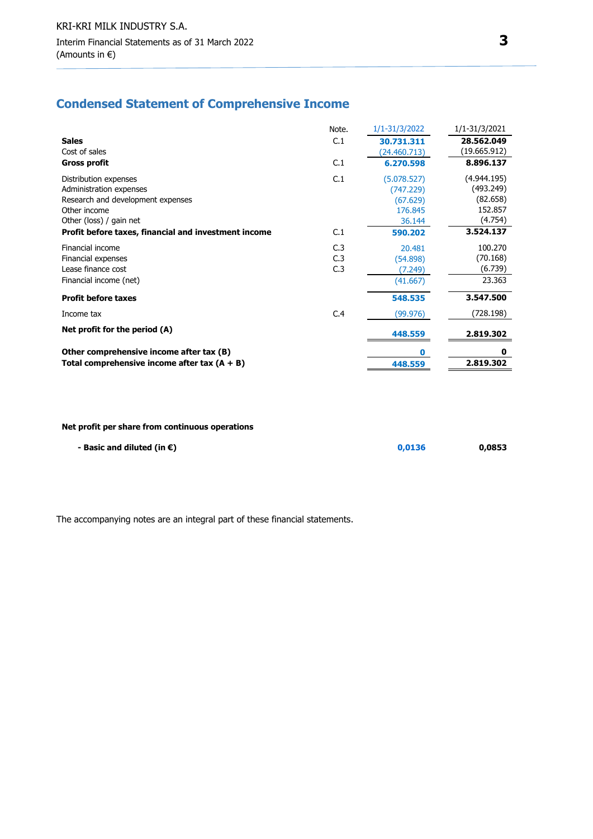## **Condensed Statement of Comprehensive Income**

|                                                      | Note.           | 1/1-31/3/2022 | 1/1-31/3/2021 |
|------------------------------------------------------|-----------------|---------------|---------------|
| <b>Sales</b>                                         | C.1             | 30.731.311    | 28.562.049    |
| Cost of sales                                        |                 | (24.460.713)  | (19.665.912)  |
| <b>Gross profit</b>                                  | C.1             | 6.270.598     | 8.896.137     |
| Distribution expenses                                | C.1             | (5.078.527)   | (4.944.195)   |
| Administration expenses                              |                 | (747.229)     | (493.249)     |
| Research and development expenses                    |                 | (67.629)      | (82.658)      |
| Other income                                         |                 | 176.845       | 152.857       |
| Other (loss) / gain net                              |                 | 36.144        | (4.754)       |
| Profit before taxes, financial and investment income | C.1             | 590.202       | 3.524.137     |
| Financial income                                     | C <sub>13</sub> | 20.481        | 100.270       |
| Financial expenses                                   | C.3             | (54.898)      | (70.168)      |
| Lease finance cost                                   | C.3             | (7.249)       | (6.739)       |
| Financial income (net)                               |                 | (41.667)      | 23.363        |
| <b>Profit before taxes</b>                           |                 | 548.535       | 3.547.500     |
| Income tax                                           | C.4             | (99.976)      | (728.198)     |
| Net profit for the period (A)                        |                 | 448.559       | 2.819.302     |
| Other comprehensive income after tax (B)             |                 | n             | 0             |
| Total comprehensive income after tax $(A + B)$       |                 | 448.559       | 2.819.302     |

#### **Net profit per share from continuous operations**

| - Basic and diluted (in $\epsilon$ ) | 0.0136 | 0,0853 |
|--------------------------------------|--------|--------|
|                                      |        |        |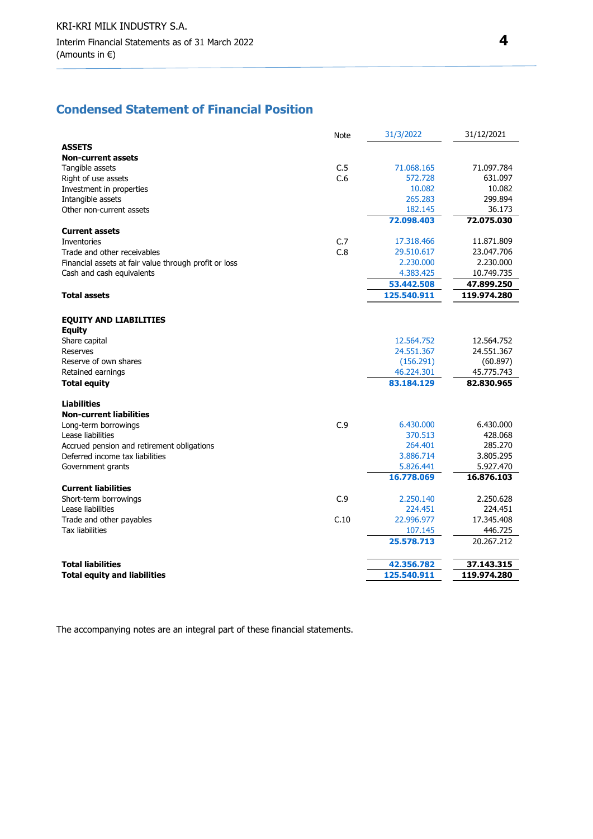## **Condensed Statement of Financial Position**

|                                                       | <b>Note</b> | 31/3/2022   | 31/12/2021  |
|-------------------------------------------------------|-------------|-------------|-------------|
| <b>ASSETS</b>                                         |             |             |             |
| <b>Non-current assets</b>                             |             |             |             |
| Tangible assets                                       | C.5         | 71.068.165  | 71.097.784  |
| Right of use assets                                   | C.6         | 572.728     | 631.097     |
| Investment in properties                              |             | 10.082      | 10.082      |
| Intangible assets                                     |             | 265.283     | 299.894     |
| Other non-current assets                              |             | 182.145     | 36.173      |
|                                                       |             | 72.098.403  | 72.075.030  |
| <b>Current assets</b>                                 |             |             |             |
| Inventories                                           | C.7         | 17.318.466  | 11.871.809  |
| Trade and other receivables                           | C.8         | 29.510.617  | 23.047.706  |
| Financial assets at fair value through profit or loss |             | 2.230.000   | 2.230.000   |
| Cash and cash equivalents                             |             | 4.383.425   | 10.749.735  |
|                                                       |             | 53.442.508  | 47.899.250  |
| <b>Total assets</b>                                   |             | 125.540.911 | 119.974.280 |
|                                                       |             |             |             |
| <b>EQUITY AND LIABILITIES</b>                         |             |             |             |
| <b>Equity</b>                                         |             |             |             |
| Share capital                                         |             | 12.564.752  | 12.564.752  |
| Reserves                                              |             | 24.551.367  | 24.551.367  |
| Reserve of own shares                                 |             | (156.291)   | (60.897)    |
| Retained earnings                                     |             | 46.224.301  | 45.775.743  |
| <b>Total equity</b>                                   |             | 83.184.129  | 82.830.965  |
| <b>Liabilities</b>                                    |             |             |             |
| <b>Non-current liabilities</b>                        |             |             |             |
| Long-term borrowings                                  | C.9         | 6.430.000   | 6.430.000   |
| Lease liabilities                                     |             | 370.513     | 428.068     |
| Accrued pension and retirement obligations            |             | 264.401     | 285.270     |
| Deferred income tax liabilities                       |             | 3.886.714   | 3.805.295   |
| Government grants                                     |             | 5.826.441   | 5.927.470   |
|                                                       |             | 16.778.069  | 16.876.103  |
| <b>Current liabilities</b>                            |             |             |             |
| Short-term borrowings                                 | C.9         | 2.250.140   | 2.250.628   |
| Lease liabilities                                     |             | 224.451     | 224.451     |
| Trade and other payables                              | C.10        | 22.996.977  | 17.345.408  |
| <b>Tax liabilities</b>                                |             | 107.145     | 446.725     |
|                                                       |             | 25.578.713  | 20.267.212  |
| <b>Total liabilities</b>                              |             | 42.356.782  | 37.143.315  |
| <b>Total equity and liabilities</b>                   |             | 125.540.911 | 119.974.280 |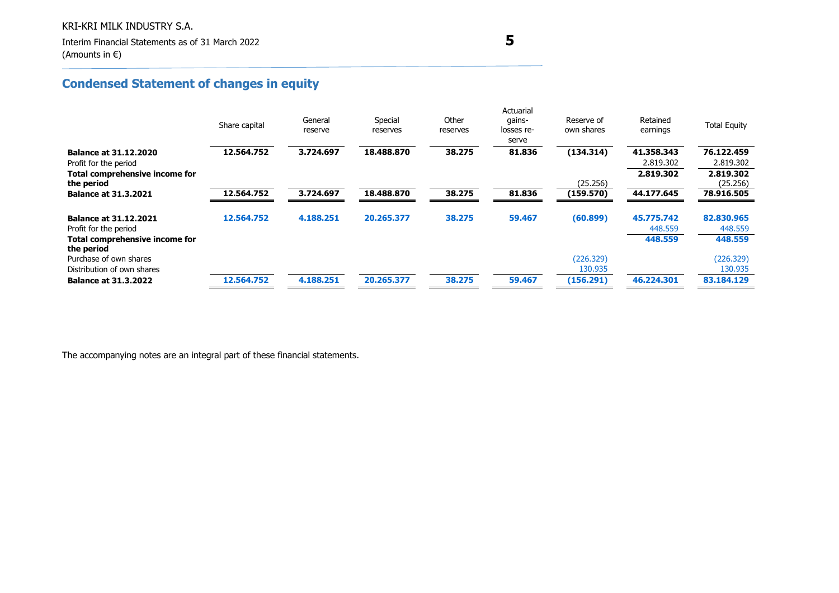# **Condensed Statement of changes in equity**

|                                              | Share capital | General<br>reserve | Special<br>reserves | Other<br>reserves | Actuarial<br>gains-<br>losses re-<br>serve | Reserve of<br>own shares | Retained<br>earnings | <b>Total Equity</b> |
|----------------------------------------------|---------------|--------------------|---------------------|-------------------|--------------------------------------------|--------------------------|----------------------|---------------------|
| <b>Balance at 31.12.2020</b>                 | 12.564.752    | 3.724.697          | 18.488.870          | 38.275            | 81.836                                     | (134.314)                | 41.358.343           | 76.122.459          |
| Profit for the period                        |               |                    |                     |                   |                                            |                          | 2.819.302            | 2.819.302           |
| Total comprehensive income for               |               |                    |                     |                   |                                            |                          | 2.819.302            | 2.819.302           |
| the period                                   |               |                    |                     |                   |                                            | (25.256)                 |                      | (25.256)            |
| <b>Balance at 31.3.2021</b>                  | 12.564.752    | 3.724.697          | 18.488.870          | 38.275            | 81.836                                     | (159.570)                | 44.177.645           | 78.916.505          |
|                                              |               |                    |                     |                   |                                            |                          |                      |                     |
| <b>Balance at 31.12.2021</b>                 | 12.564.752    | 4.188.251          | 20.265.377          | 38.275            | 59.467                                     | (60.899)                 | 45.775.742           | 82.830.965          |
| Profit for the period                        |               |                    |                     |                   |                                            |                          | 448.559              | 448.559             |
| Total comprehensive income for<br>the period |               |                    |                     |                   |                                            |                          | 448.559              | 448.559             |
| Purchase of own shares                       |               |                    |                     |                   |                                            | (226.329)                |                      | (226.329)           |
| Distribution of own shares                   |               |                    |                     |                   |                                            | 130.935                  |                      | 130.935             |
| <b>Balance at 31.3.2022</b>                  | 12.564.752    | 4.188.251          | 20.265.377          | 38.275            | 59.467                                     | (156.291)                | 46.224.301           | 83.184.129          |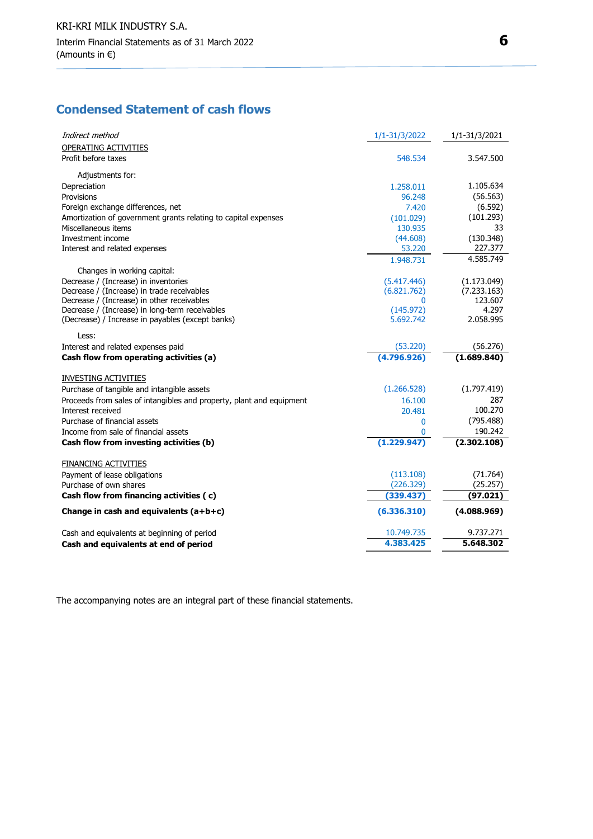## **Condensed Statement of cash flows**

| Indirect method                                                                                    | 1/1-31/3/2022          | 1/1-31/3/2021    |
|----------------------------------------------------------------------------------------------------|------------------------|------------------|
| OPERATING ACTIVITIES                                                                               |                        |                  |
| Profit before taxes                                                                                | 548.534                | 3.547.500        |
| Adjustments for:                                                                                   |                        |                  |
| Depreciation                                                                                       | 1.258.011              | 1.105.634        |
| Provisions                                                                                         | 96.248                 | (56.563)         |
| Foreign exchange differences, net                                                                  | 7.420                  | (6.592)          |
| Amortization of government grants relating to capital expenses                                     | (101.029)              | (101.293)        |
| Miscellaneous items                                                                                | 130.935                | 33               |
| Investment income                                                                                  | (44.608)               | (130.348)        |
| Interest and related expenses                                                                      | 53.220                 | 227.377          |
|                                                                                                    | 1.948.731              | 4.585.749        |
| Changes in working capital:                                                                        |                        |                  |
| Decrease / (Increase) in inventories                                                               | (5.417.446)            | (1.173.049)      |
| Decrease / (Increase) in trade receivables                                                         | (6.821.762)            | (7.233.163)      |
| Decrease / (Increase) in other receivables                                                         | $\Omega$               | 123.607<br>4.297 |
| Decrease / (Increase) in long-term receivables<br>(Decrease) / Increase in payables (except banks) | (145.972)<br>5.692.742 | 2.058.995        |
|                                                                                                    |                        |                  |
| Less:                                                                                              |                        |                  |
| Interest and related expenses paid                                                                 | (53.220)               | (56.276)         |
| Cash flow from operating activities (a)                                                            | (4.796.926)            | (1.689.840)      |
| <b>INVESTING ACTIVITIES</b>                                                                        |                        |                  |
| Purchase of tangible and intangible assets                                                         | (1.266.528)            | (1.797.419)      |
| Proceeds from sales of intangibles and property, plant and equipment                               | 16.100                 | 287              |
| Interest received                                                                                  | 20.481                 | 100.270          |
| Purchase of financial assets                                                                       | 0                      | (795.488)        |
| Income from sale of financial assets                                                               | n                      | 190.242          |
| Cash flow from investing activities (b)                                                            | (1.229.947)            | (2.302.108)      |
| <b>FINANCING ACTIVITIES</b>                                                                        |                        |                  |
| Payment of lease obligations                                                                       | (113.108)              | (71.764)         |
| Purchase of own shares                                                                             | (226.329)              | (25.257)         |
| Cash flow from financing activities (c)                                                            | (339.437               | (97.021)         |
| Change in cash and equivalents $(a+b+c)$                                                           | (6.336.310)            | (4.088.969)      |
| Cash and equivalents at beginning of period                                                        | 10.749.735             | 9.737.271        |
| Cash and equivalents at end of period                                                              | 4.383.425              | 5.648.302        |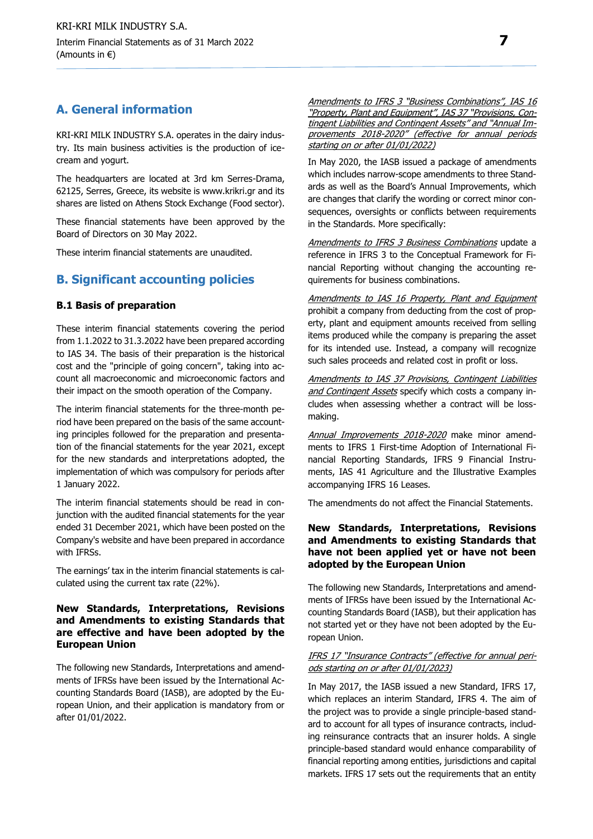## **Α. General information**

KRI-KRI MILK INDUSTRY S.A. operates in the dairy industry. Its main business activities is the production of icecream and yogurt.

The headquarters are located at 3rd km Serres-Drama, 62125, Serres, Greece, its website is www.krikri.gr and its shares are listed on Athens Stock Exchange (Food sector).

These financial statements have been approved by the Board of Directors on 30 May 2022.

These interim financial statements are unaudited.

### **Β. Significant accounting policies**

#### **Β.1 Basis of preparation**

These interim financial statements covering the period from 1.1.2022 to 31.3.2022 have been prepared according to IAS 34. The basis of their preparation is the historical cost and the "principle of going concern", taking into account all macroeconomic and microeconomic factors and their impact on the smooth operation of the Company.

The interim financial statements for the three-month period have been prepared on the basis of the same accounting principles followed for the preparation and presentation of the financial statements for the year 2021, except for the new standards and interpretations adopted, the implementation of which was compulsory for periods after 1 January 2022.

The interim financial statements should be read in conjunction with the audited financial statements for the year ended 31 December 2021, which have been posted on the Company's website and have been prepared in accordance with IFRSs.

The earnings' tax in the interim financial statements is calculated using the current tax rate (22%).

#### **New Standards, Interpretations, Revisions and Amendments to existing Standards that are effective and have been adopted by the European Union**

The following new Standards, Interpretations and amendments of IFRSs have been issued by the International Accounting Standards Board (IASB), are adopted by the European Union, and their application is mandatory from or after 01/01/2022.

Amendments to IFRS 3 "Business Combinations", IAS 16 "Property, Plant and Equipment", IAS 37 "Provisions, Contingent Liabilities and Contingent Assets" and "Annual Improvements 2018-2020" (effective for annual periods starting on or after 01/01/2022)

In May 2020, the IASB issued a package of amendments which includes narrow-scope amendments to three Standards as well as the Board's Annual Improvements, which are changes that clarify the wording or correct minor consequences, oversights or conflicts between requirements in the Standards. More specifically:

Amendments to IFRS 3 Business Combinations update a reference in IFRS 3 to the Conceptual Framework for Financial Reporting without changing the accounting requirements for business combinations.

Amendments to IAS 16 Property, Plant and Equipment prohibit a company from deducting from the cost of property, plant and equipment amounts received from selling items produced while the company is preparing the asset for its intended use. Instead, a company will recognize such sales proceeds and related cost in profit or loss.

Amendments to IAS 37 Provisions, Contingent Liabilities and Contingent Assets specify which costs a company includes when assessing whether a contract will be lossmaking.

Annual Improvements 2018-2020 make minor amendments to IFRS 1 First-time Adoption of International Financial Reporting Standards, IFRS 9 Financial Instruments, IAS 41 Agriculture and the Illustrative Examples accompanying IFRS 16 Leases.

The amendments do not affect the Financial Statements.

#### **New Standards, Interpretations, Revisions and Amendments to existing Standards that have not been applied yet or have not been adopted by the European Union**

The following new Standards, Interpretations and amendments of IFRSs have been issued by the International Accounting Standards Board (IASB), but their application has not started yet or they have not been adopted by the European Union.

#### IFRS 17 "Insurance Contracts" (effective for annual periods starting on or after 01/01/2023)

In May 2017, the IASB issued a new Standard, IFRS 17, which replaces an interim Standard, IFRS 4. The aim of the project was to provide a single principle-based standard to account for all types of insurance contracts, including reinsurance contracts that an insurer holds. A single principle-based standard would enhance comparability of financial reporting among entities, jurisdictions and capital markets. IFRS 17 sets out the requirements that an entity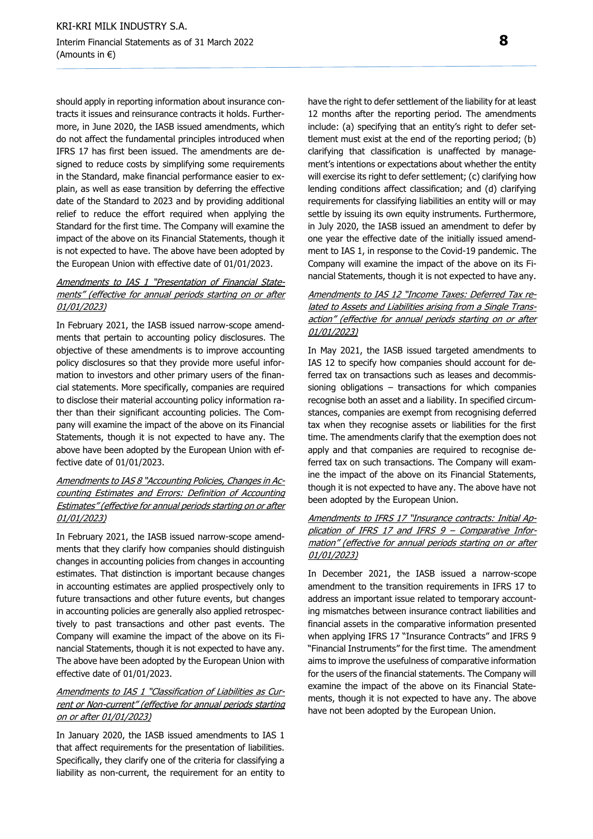should apply in reporting information about insurance contracts it issues and reinsurance contracts it holds. Furthermore, in June 2020, the IASB issued amendments, which do not affect the fundamental principles introduced when IFRS 17 has first been issued. The amendments are designed to reduce costs by simplifying some requirements in the Standard, make financial performance easier to explain, as well as ease transition by deferring the effective date of the Standard to 2023 and by providing additional relief to reduce the effort required when applying the Standard for the first time. The Company will examine the impact of the above on its Financial Statements, though it is not expected to have. The above have been adopted by the European Union with effective date of 01/01/2023.

#### Amendments to IAS 1 "Presentation of Financial Statements" (effective for annual periods starting on or after 01/01/2023)

In February 2021, the IASB issued narrow-scope amendments that pertain to accounting policy disclosures. The objective of these amendments is to improve accounting policy disclosures so that they provide more useful information to investors and other primary users of the financial statements. More specifically, companies are required to disclose their material accounting policy information rather than their significant accounting policies. The Company will examine the impact of the above on its Financial Statements, though it is not expected to have any. The above have been adopted by the European Union with effective date of 01/01/2023.

#### Amendments to IAS 8 "Accounting Policies, Changes in Accounting Estimates and Errors: Definition of Accounting Estimates" (effective for annual periods starting on or after 01/01/2023)

In February 2021, the IASB issued narrow-scope amendments that they clarify how companies should distinguish changes in accounting policies from changes in accounting estimates. That distinction is important because changes in accounting estimates are applied prospectively only to future transactions and other future events, but changes in accounting policies are generally also applied retrospectively to past transactions and other past events. The Company will examine the impact of the above on its Financial Statements, though it is not expected to have any. The above have been adopted by the European Union with effective date of 01/01/2023.

#### Amendments to IAS 1 "Classification of Liabilities as Current or Non-current" (effective for annual periods starting on or after 01/01/2023)

In January 2020, the IASB issued amendments to IAS 1 that affect requirements for the presentation of liabilities. Specifically, they clarify one of the criteria for classifying a liability as non-current, the requirement for an entity to

have the right to defer settlement of the liability for at least 12 months after the reporting period. The amendments include: (a) specifying that an entity's right to defer settlement must exist at the end of the reporting period; (b) clarifying that classification is unaffected by management's intentions or expectations about whether the entity will exercise its right to defer settlement; (c) clarifying how lending conditions affect classification; and (d) clarifying requirements for classifying liabilities an entity will or may settle by issuing its own equity instruments. Furthermore, in July 2020, the IASB issued an amendment to defer by one year the effective date of the initially issued amendment to IAS 1, in response to the Covid-19 pandemic. The Company will examine the impact of the above on its Financial Statements, though it is not expected to have any.

#### Amendments to IAS 12 "Income Taxes: Deferred Tax related to Assets and Liabilities arising from a Single Transaction" (effective for annual periods starting on or after 01/01/2023)

In May 2021, the IASB issued targeted amendments to IAS 12 to specify how companies should account for deferred tax on transactions such as leases and decommissioning obligations – transactions for which companies recognise both an asset and a liability. In specified circumstances, companies are exempt from recognising deferred tax when they recognise assets or liabilities for the first time. The amendments clarify that the exemption does not apply and that companies are required to recognise deferred tax on such transactions. The Company will examine the impact of the above on its Financial Statements, though it is not expected to have any. The above have not been adopted by the European Union.

#### Amendments to IFRS 17 "Insurance contracts: Initial Application of IFRS 17 and IFRS 9 – Comparative Information" (effective for annual periods starting on or after 01/01/2023)

In December 2021, the IASB issued a narrow-scope amendment to the transition requirements in IFRS 17 to address an important issue related to temporary accounting mismatches between insurance contract liabilities and financial assets in the comparative information presented when applying IFRS 17 "Insurance Contracts" and IFRS 9 "Financial Instruments" for the first time. The amendment aims to improve the usefulness of comparative information for the users of the financial statements. The Company will examine the impact of the above on its Financial Statements, though it is not expected to have any. The above have not been adopted by the European Union.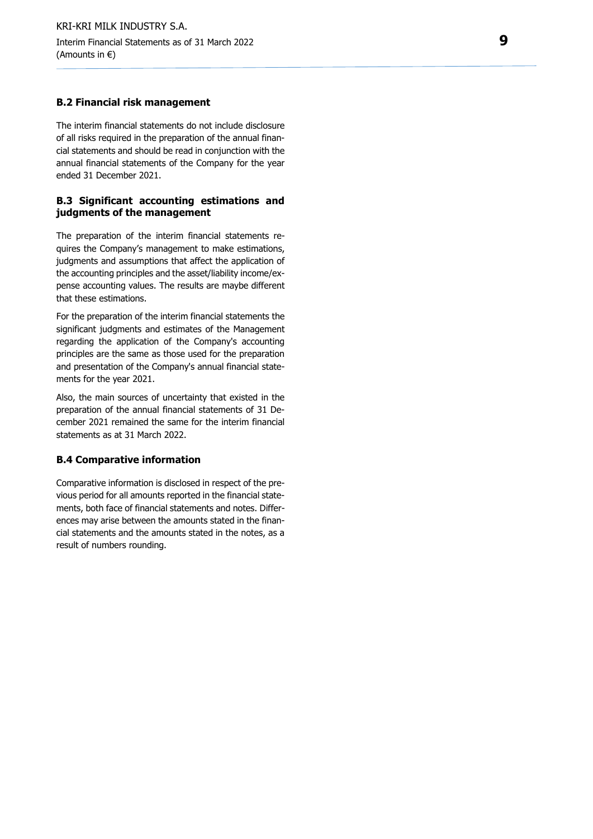#### **Β.2 Financial risk management**

The interim financial statements do not include disclosure of all risks required in the preparation of the annual financial statements and should be read in conjunction with the annual financial statements of the Company for the year ended 31 December 20 2 1 .

#### **Β . 3 Significant accounting estimations and judgments of the management**

The preparation of the interim financial statements requires the Company's management to make estimations, judgments and assumptions that affect the application of the accounting principles and the asset/liability income/expense accounting values. The results are maybe different that these estimations.

For the preparation of the interim financial statements the significant judgments and estimates of the Management regarding the application of the Company's accounting principles are the same as those used for the preparation and presentation of the Company's annual financial statements for the year 2021.

Also, the main sources of uncertainty that existed in the preparation of the annual financial statements of 31 December 2021 remained the same for the interim financial statements as at 3 1 March 20 2 2 .

#### **Β . 4 Comparative information**

Comparative information is disclosed in respect of the previous period for all amounts reported in the financial statements, both face of financial statements and notes. Differences may arise between the amounts stated in the financial statements and the amounts stated in the notes, as a result of numbers rounding.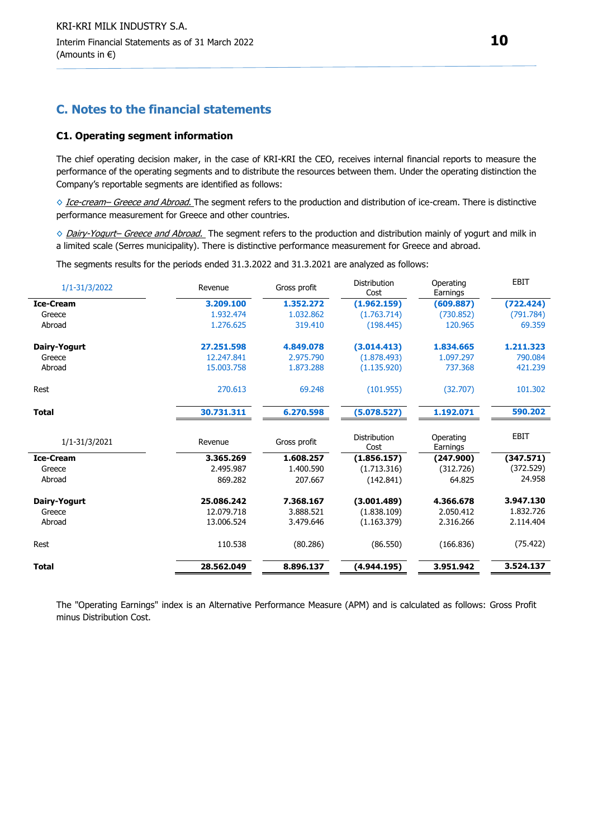### **C. Notes to the financial statements**

#### **C1. Operating segment information**

The chief operating decision maker, in the case of KRI-KRI the CEO, receives internal financial reports to measure the performance of the operating segments and to distribute the resources between them. Under the operating distinction the Company's reportable segments are identified as follows:

◇ Ice-cream– Greece and Abroad. The segment refers to the production and distribution of ice-cream. There is distinctive performance measurement for Greece and other countries.

◇ Dairy-Yogurt– Greece and Abroad. The segment refers to the production and distribution mainly of yogurt and milk in a limited scale (Serres municipality). There is distinctive performance measurement for Greece and abroad.

The segments results for the periods ended 31.3.2022 and 31.3.2021 are analyzed as follows:

| Revenue    | Gross profit | Distribution<br>Cost | Operating<br>Earnings | <b>EBIT</b> |
|------------|--------------|----------------------|-----------------------|-------------|
| 3.209.100  | 1.352.272    | (1.962.159)          | (609.887)             | (722.424)   |
| 1.932.474  | 1.032.862    | (1.763.714)          | (730.852)             | (791.784)   |
| 1.276.625  | 319.410      | (198.445)            | 120.965               | 69.359      |
| 27.251.598 | 4.849.078    | (3.014.413)          | 1.834.665             | 1.211.323   |
| 12.247.841 | 2.975.790    | (1.878.493)          | 1.097.297             | 790.084     |
| 15.003.758 | 1.873.288    | (1.135.920)          | 737.368               | 421.239     |
| 270.613    | 69.248       | (101.955)            | (32.707)              | 101.302     |
| 30.731.311 | 6.270.598    | (5.078.527)          | 1.192.071             | 590.202     |
| Revenue    | Gross profit | Distribution<br>Cost | Operating<br>Earnings | EBIT        |
| 3.365.269  | 1.608.257    |                      |                       | (347.571)   |
| 2.495.987  | 1.400.590    | (1.713.316)          | (312.726)             | (372.529)   |
| 869.282    | 207.667      | (142.841)            | 64.825                | 24.958      |
| 25.086.242 | 7.368.167    | (3.001.489)          | 4.366.678             | 3.947.130   |
| 12.079.718 | 3.888.521    | (1.838.109)          | 2.050.412             | 1.832.726   |
| 13.006.524 | 3.479.646    | (1.163.379)          | 2.316.266             | 2.114.404   |
| 110.538    | (80.286)     | (86.550)             | (166.836)             | (75.422)    |
| 28.562.049 | 8.896.137    | (4.944.195)          | 3.951.942             | 3.524.137   |
|            |              |                      | (1.856.157)           | (247.900)   |

The "Operating Earnings" index is an Alternative Performance Measure (APM) and is calculated as follows: Gross Profit minus Distribution Cost.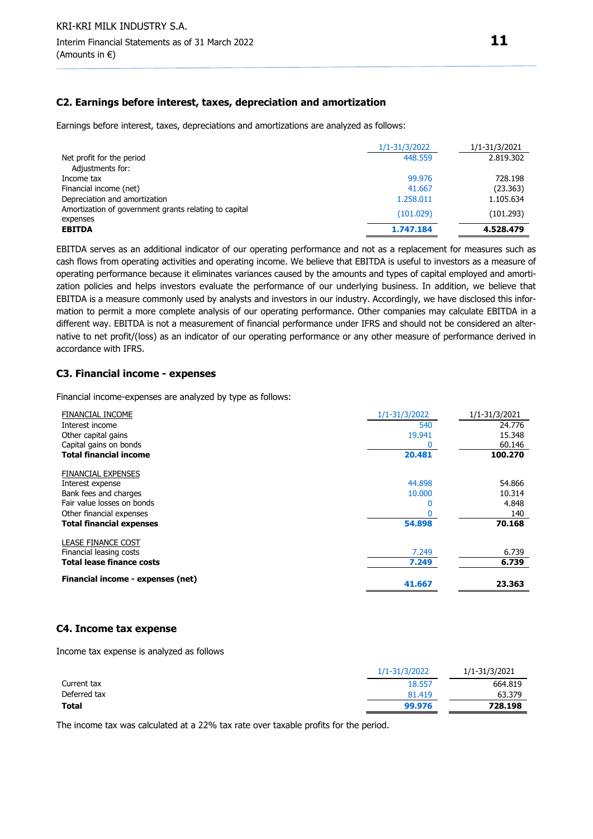#### **C2. Earnings before interest, taxes, depreciation and amortization**

Earnings before interest, taxes, depreciations and amortizations are analyzed as follows:

|                                                       | 1/1-31/3/2022 | 1/1-31/3/2021 |
|-------------------------------------------------------|---------------|---------------|
| Net profit for the period                             | 448.559       | 2.819.302     |
| Adjustments for:                                      |               |               |
| Income tax                                            | 99.976        | 728.198       |
| Financial income (net)                                | 41.667        | (23.363)      |
| Depreciation and amortization                         | 1.258.011     | 1.105.634     |
| Amortization of government grants relating to capital | (101.029)     | (101.293)     |
| expenses                                              |               |               |
| <b>EBITDA</b>                                         | 1.747.184     | 4.528.479     |

EBITDA serves as an additional indicator of our operating performance and not as a replacement for measures such as cash flows from operating activities and operating income. We believe that EBITDA is useful to investors as a measure of operating performance because it eliminates variances caused by the amounts and types of capital employed and amortization policies and helps investors evaluate the performance of our underlying business. In addition, we believe that EBITDA is a measure commonly used by analysts and investors in our industry. Accordingly, we have disclosed this information to permit a more complete analysis of our operating performance. Other companies may calculate EBITDA in a different way. EBITDA is not a measurement of financial performance under IFRS and should not be considered an alternative to net profit/(loss) as an indicator of our operating performance or any other measure of performance derived in accordance with IFRS.

#### **C3. Financial income - expenses**

Financial income-expenses are analyzed by type as follows:

| <b>FINANCIAL INCOME</b>           | 1/1-31/3/2022 | 1/1-31/3/2021 |
|-----------------------------------|---------------|---------------|
| Interest income                   | 540           | 24.776        |
| Other capital gains               | 19.941        | 15.348        |
| Capital gains on bonds            |               | 60.146        |
| <b>Total financial income</b>     | 20.481        | 100.270       |
| <b>FINANCIAL EXPENSES</b>         |               |               |
| Interest expense                  | 44.898        | 54.866        |
| Bank fees and charges             | 10.000        | 10.314        |
| Fair value losses on bonds        | 0             | 4.848         |
| Other financial expenses          |               | 140           |
| <b>Total financial expenses</b>   | 54.898        | 70.168        |
| <b>LEASE FINANCE COST</b>         |               |               |
| Financial leasing costs           | 7.249         | 6.739         |
| <b>Total lease finance costs</b>  | 7.249         | 6.739         |
| Financial income - expenses (net) | 41.667        | 23.363        |

#### **C4. Income tax expense**

Income tax expense is analyzed as follows

| 1/1-31/3/2022 | 1/1-31/3/2021 |
|---------------|---------------|
| 18.557        | 664.819       |
| 81.419        | 63.379        |
| 99.976        | 728.198       |
|               |               |

The income tax was calculated at a 22% tax rate over taxable profits for the period.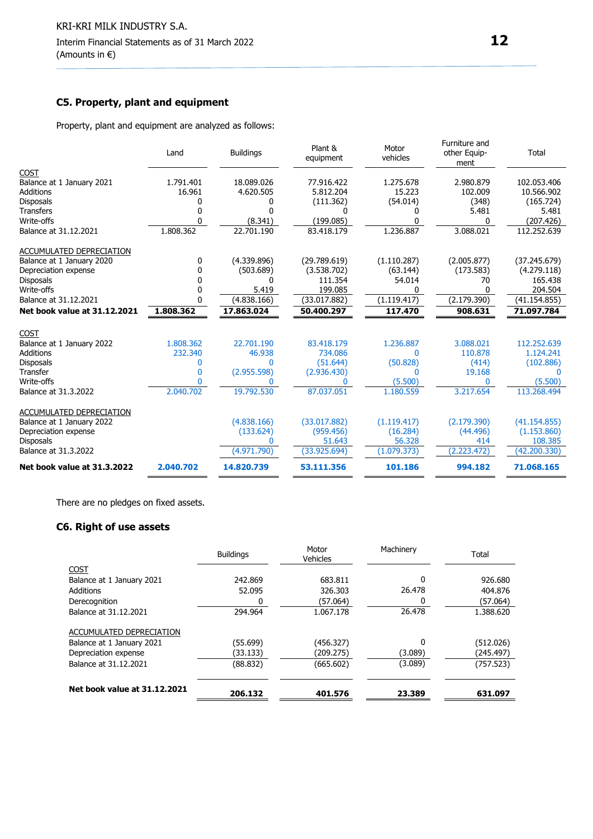### **C5. Property, plant and equipment**

Property, plant and equipment are analyzed as follows:

|                                                   | Land         | <b>Buildings</b> | Plant &<br>equipment      | Motor<br>vehicles       | Furniture and<br>other Equip-<br>ment | Total                       |
|---------------------------------------------------|--------------|------------------|---------------------------|-------------------------|---------------------------------------|-----------------------------|
| <b>COST</b>                                       |              |                  |                           |                         |                                       |                             |
| Balance at 1 January 2021                         | 1.791.401    | 18.089.026       | 77.916.422                | 1.275.678               | 2.980.879                             | 102.053.406                 |
| <b>Additions</b>                                  | 16.961       | 4.620.505        | 5.812.204                 | 15.223                  | 102.009                               | 10.566.902                  |
| <b>Disposals</b>                                  |              | 0                | (111.362)                 | (54.014)                | (348)                                 | (165.724)                   |
| <b>Transfers</b>                                  |              | 0                | 0                         | 0                       | 5.481                                 | 5.481                       |
| Write-offs                                        |              | (8.341)          | (199.085)                 | 0                       | 0                                     | (207.426)                   |
| Balance at 31.12.2021                             | 1.808.362    | 22.701.190       | 83.418.179                | 1.236.887               | 3.088.021                             | 112.252.639                 |
| ACCUMULATED DEPRECIATION                          |              |                  |                           |                         |                                       |                             |
| Balance at 1 January 2020                         | 0            | (4.339.896)      | (29.789.619)              | (1.110.287)             | (2.005.877)                           | (37.245.679)                |
| Depreciation expense                              | 0            | (503.689)        | (3.538.702)               | (63.144)                | (173.583)                             | (4.279.118)                 |
| <b>Disposals</b>                                  | n            | ŋ                | 111.354                   | 54.014                  | 70                                    | 165.438                     |
| Write-offs                                        |              | 5.419            | 199.085                   | 0                       | ŋ                                     | 204.504                     |
| Balance at 31.12.2021                             | n            | (4.838.166)      | (33.017.882)              | (1.119.417)             | (2.179.390)                           | (41.154.855)                |
|                                                   |              |                  |                           |                         |                                       | 71.097.784                  |
| Net book value at 31.12.2021                      | 1.808.362    | 17.863.024       | 50.400.297                | 117.470                 | 908.631                               |                             |
|                                                   |              |                  |                           |                         |                                       |                             |
| <b>COST</b>                                       |              |                  |                           |                         |                                       |                             |
| Balance at 1 January 2022                         | 1.808.362    | 22.701.190       | 83.418.179                | 1.236.887<br>$\Omega$   | 3.088.021                             | 112.252.639                 |
| <b>Additions</b>                                  | 232.340<br>0 | 46.938<br>0      | 734.086                   |                         | 110.878                               | 1.124.241                   |
| <b>Disposals</b><br>Transfer                      | 0            |                  | (51.644)                  | (50.828)<br>0           | (414)<br>19.168                       | (102.886)<br>$\mathsf{D}$   |
| Write-offs                                        |              | (2.955.598)      | (2.936.430)<br>0          | (5.500)                 | $\Omega$                              | (5.500)                     |
| Balance at 31.3.2022                              | 2.040.702    | 19.792.530       | 87.037.051                | 1.180.559               | 3.217.654                             | 113.268.494                 |
|                                                   |              |                  |                           |                         |                                       |                             |
| ACCUMULATED DEPRECIATION                          |              |                  |                           |                         |                                       |                             |
| Balance at 1 January 2022<br>Depreciation expense |              | (4.838.166)      | (33.017.882)<br>(959.456) | (1.119.417)<br>(16.284) | (2.179.390)<br>(44.496)               | (41.154.855)<br>(1.153.860) |
| <b>Disposals</b>                                  |              | (133.624)        | 51.643                    | 56.328                  | 414                                   | 108.385                     |
| Balance at 31.3.2022                              |              | (4.971.790)      | (33.925.694)              | (1.079.373)             | (2.223.472)                           | (42.200.330)                |

There are no pledges on fixed assets.

## **C6. Right of use assets**

|                              | <b>Buildings</b> | Motor<br><b>Vehicles</b> | Machinery | Total     |
|------------------------------|------------------|--------------------------|-----------|-----------|
| <b>COST</b>                  |                  |                          |           |           |
| Balance at 1 January 2021    | 242.869          | 683.811                  | 0         | 926.680   |
| <b>Additions</b>             | 52.095           | 326.303                  | 26.478    | 404.876   |
| Derecognition                | 0                | (57.064)                 |           | (57.064)  |
| Balance at 31.12.2021        | 294.964          | 1.067.178                | 26.478    | 1.388.620 |
| ACCUMULATED DEPRECIATION     |                  |                          |           |           |
| Balance at 1 January 2021    | (55.699)         | (456.327)                | 0         | (512.026) |
| Depreciation expense         | (33.133)         | (209.275)                | (3.089)   | (245.497) |
| Balance at 31.12.2021        | (88.832)         | (665.602)                | (3.089)   | (757.523) |
| Net book value at 31.12.2021 | 206.132          | 401.576                  | 23.389    | 631.097   |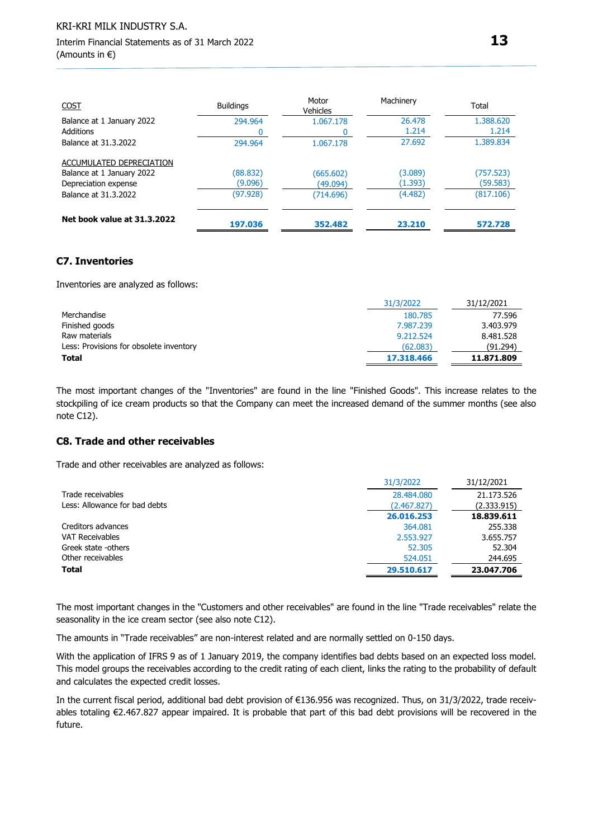| <b>COST</b>                 | <b>Buildings</b> | Motor<br>Vehicles | Machinery | Total     |
|-----------------------------|------------------|-------------------|-----------|-----------|
| Balance at 1 January 2022   | 294.964          | 1.067.178         | 26,478    | 1.388.620 |
| <b>Additions</b>            |                  |                   | 1.214     | 1.214     |
| Balance at 31.3.2022        | 294.964          | 1.067.178         | 27.692    | 1.389.834 |
| ACCUMULATED DEPRECIATION    |                  |                   |           |           |
| Balance at 1 January 2022   | (88.832)         | (665.602)         | (3.089)   | (757.523) |
| Depreciation expense        | (9.096)          | (49.094)          | (1.393)   | (59.583)  |
| Balance at 31.3.2022        | (97.928)         | (714.696)         | (4.482)   | (817.106) |
| Net book value at 31.3.2022 | 197.036          | 352.482           | 23.210    | 572.728   |

#### **C7. Inventories**

Inventories are analyzed as follows:

|                                         | 31/3/2022  | 31/12/2021 |
|-----------------------------------------|------------|------------|
| Merchandise                             | 180.785    | 77.596     |
| Finished goods                          | 7.987.239  | 3.403.979  |
| Raw materials                           | 9.212.524  | 8.481.528  |
| Less: Provisions for obsolete inventory | (62.083)   | (91.294)   |
| Total                                   | 17.318.466 | 11.871.809 |

The most important changes of the "Inventories" are found in the line "Finished Goods". This increase relates to the stockpiling of ice cream products so that the Company can meet the increased demand of the summer months (see also note C12).

#### **C8. Trade and other receivables**

Trade and other receivables are analyzed as follows:

|                               | 31/3/2022   | 31/12/2021  |
|-------------------------------|-------------|-------------|
| Trade receivables             | 28,484,080  | 21.173.526  |
| Less: Allowance for bad debts | (2.467.827) | (2.333.915) |
|                               | 26.016.253  | 18.839.611  |
| Creditors advances            | 364.081     | 255.338     |
| <b>VAT Receivables</b>        | 2.553.927   | 3.655.757   |
| Greek state -others           | 52.305      | 52.304      |
| Other receivables             | 524.051     | 244.695     |
| <b>Total</b>                  | 29.510.617  | 23.047.706  |

The most important changes in the "Customers and other receivables" are found in the line "Trade receivables" relate the seasonality in the ice cream sector (see also note C12).

The amounts in "Trade receivables" are non-interest related and are normally settled on 0-150 days.

With the application of IFRS 9 as of 1 January 2019, the company identifies bad debts based on an expected loss model. This model groups the receivables according to the credit rating of each client, links the rating to the probability of default and calculates the expected credit losses.

In the current fiscal period, additional bad debt provision of €136.956 was recognized. Thus, on 31/3/2022, trade receivables totaling €2.467.827 appear impaired. It is probable that part of this bad debt provisions will be recovered in the future.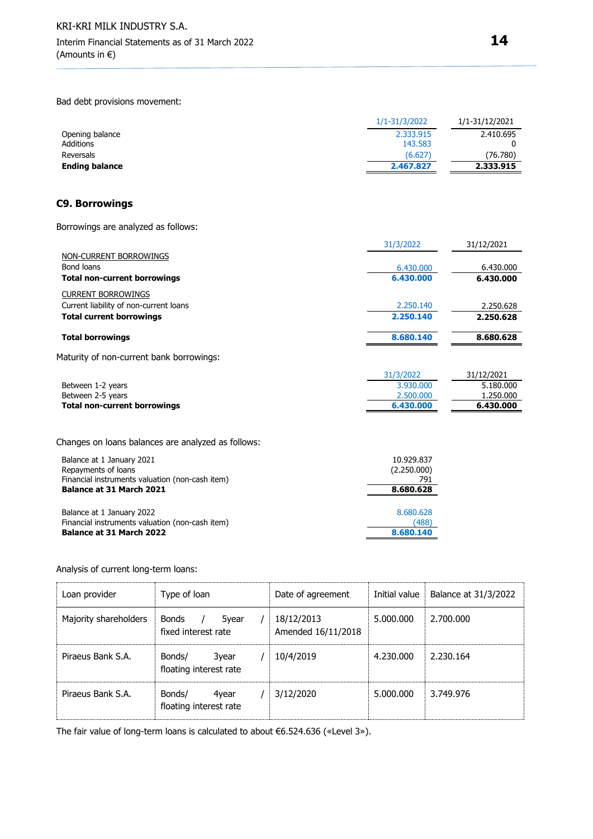Bad debt provisions movement:

| 1/1-31/3/2022 | 1/1-31/12/2021 |
|---------------|----------------|
| 2.333.915     | 2.410.695      |
| 143.583       |                |
| (6.627)       | (76.780)       |
| 2.467.827     | 2.333.915      |
|               |                |

#### **C9. Borrowings**

Borrowings are analyzed as follows:

|                                          | 31/3/2022 | 31/12/2021 |
|------------------------------------------|-----------|------------|
| NON-CURRENT BORROWINGS                   |           |            |
| Bond loans                               | 6.430,000 | 6.430.000  |
| <b>Total non-current borrowings</b>      | 6.430.000 | 6.430.000  |
| <b>CURRENT BORROWINGS</b>                |           |            |
| Current liability of non-current loans   | 2.250.140 | 2.250.628  |
| <b>Total current borrowings</b>          | 2.250.140 | 2.250.628  |
| <b>Total borrowings</b>                  | 8.680.140 | 8.680.628  |
| Maturity of non-current bank borrowings: |           |            |
|                                          | 21/2/2022 | 21/12/2021 |

|                              | 31/3/2022 | 31/12/2021 |
|------------------------------|-----------|------------|
| Between 1-2 years            | 3.930.000 | 5.180.000  |
| Between 2-5 years            | 2.500.000 | 1.250.000  |
| Total non-current borrowings | 6.430.000 | 6.430.000  |
|                              |           |            |

Changes on loans balances are analyzed as follows:

| Balance at 1 January 2021                       | 10.929.837  |
|-------------------------------------------------|-------------|
| Repayments of loans                             | (2.250.000) |
| Financial instruments valuation (non-cash item) | 791         |
| Balance at 31 March 2021                        | 8.680.628   |
| Balance at 1 January 2022                       | 8.680.628   |
| Financial instruments valuation (non-cash item) | (488)       |
| Balance at 31 March 2022                        | 8.680.140   |

Analysis of current long-term loans:

| Loan provider         | Type of loan                                 | Date of agreement                | Initial value | Balance at 31/3/2022 |
|-----------------------|----------------------------------------------|----------------------------------|---------------|----------------------|
| Majority shareholders | <b>Bonds</b><br>5year<br>fixed interest rate | 18/12/2013<br>Amended 16/11/2018 | 5.000.000     | 2.700.000            |
| Piraeus Bank S.A.     | Bonds/<br>3year<br>floating interest rate    | 10/4/2019                        | 4.230.000     | 2.230.164            |
| Piraeus Bank S.A.     | Bonds/<br>4year<br>floating interest rate    | 3/12/2020                        | 5.000.000     | 3.749.976            |

The fair value of long-term loans is calculated to about €6.524.636 («Level 3»).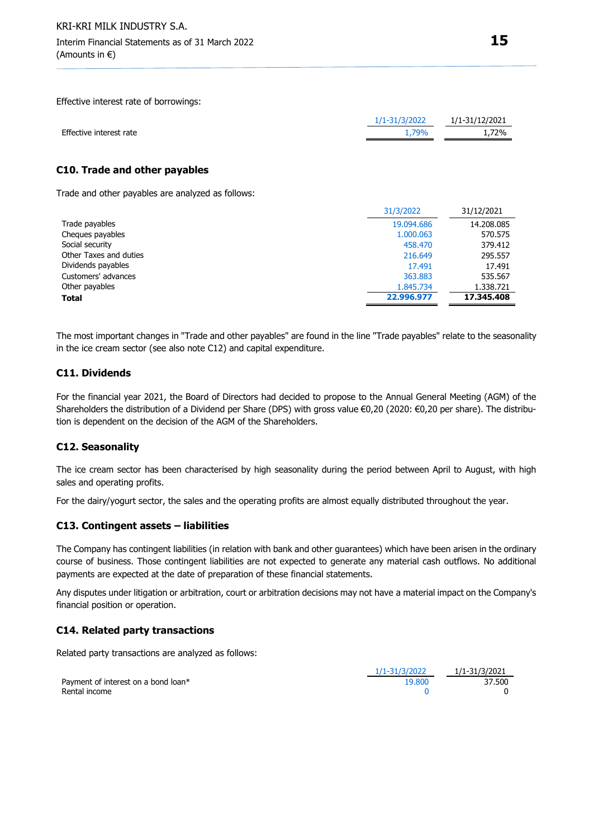Effective interest rate of borrowings:

|                         | 1/1-31/3/2022 | 1/1-31/12/2021 |
|-------------------------|---------------|----------------|
| Effective interest rate | 1.79%         | 1.72%          |
|                         |               |                |

#### **C10. Trade and other payables**

Trade and other payables are analyzed as follows:

|                        | 31/3/2022  | 31/12/2021 |
|------------------------|------------|------------|
| Trade payables         | 19.094.686 | 14.208.085 |
| Cheques payables       | 1.000.063  | 570.575    |
| Social security        | 458,470    | 379.412    |
| Other Taxes and duties | 216,649    | 295.557    |
| Dividends payables     | 17.491     | 17.491     |
| Customers' advances    | 363.883    | 535.567    |
| Other payables         | 1.845.734  | 1.338.721  |
| <b>Total</b>           | 22.996.977 | 17.345.408 |

The most important changes in "Trade and other payables" are found in the line "Trade payables" relate to the seasonality in the ice cream sector (see also note C12) and capital expenditure.

#### **C11. Dividends**

For the financial year 2021, the Board of Directors had decided to propose to the Annual General Meeting (AGM) of the Shareholders the distribution of a Dividend per Share (DPS) with gross value €0,20 (2020: €0,20 per share). The distribution is dependent on the decision of the AGM of the Shareholders.

#### **C12. Seasonality**

The ice cream sector has been characterised by high seasonality during the period between April to August, with high sales and operating profits.

For the dairy/yogurt sector, the sales and the operating profits are almost equally distributed throughout the year.

#### **C13. Contingent assets – liabilities**

The Company has contingent liabilities (in relation with bank and other guarantees) which have been arisen in the ordinary course of business. Those contingent liabilities are not expected to generate any material cash outflows. No additional payments are expected at the date of preparation of these financial statements.

Any disputes under litigation or arbitration, court or arbitration decisions may not have a material impact on the Company's financial position or operation.

#### **C14. Related party transactions**

Related party transactions are analyzed as follows:

|                                     | 1/1-31/3/2022 | 1/1-31/3/2021 |
|-------------------------------------|---------------|---------------|
| Payment of interest on a bond loan* | 19.800        | 37.500        |
| Rental income                       |               |               |